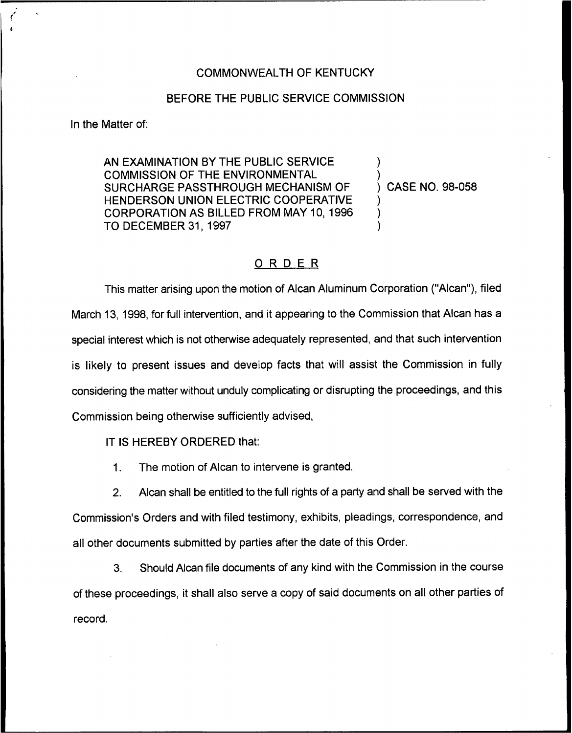## COMMONWEALTH OF KENTUCKY

## BEFORE THE PUBLIC SERVICE COMMISSION

In the Matter of:

AN EXAMINATION BY THE PUBLIC SERVICE COMMISSION OF THE ENVIRONMENTAL SURCHARGE PASSTHROUGH MECHANISM OF HENDERSON UNION ELECTRIC COOPERATIVE CORPORATION AS BILLED FROM MAY 10, 1996 TO DECEMBER 31, 1997

) CASE NO. 98-058

) )

) ) )

## ORDER

This matter arising upon the motion of Alcan Aluminum Corporation ("Alcan"), filed March 13, 1998, for full intervention, and it appearing to the Commission that Alcan has a special interest which is not otherwise adequately represented, and that such intervention is likely to present issues and develop facts that will assist the Commission in fully considering the matter without unduly complicating or disrupting the proceedings, and this Commission being otherwise sufficiently advised,

IT IS HEREBY ORDERED that:

1. The motion of Alcan to intervene is granted.

2. Alcan shall be entitled to the full rights of a party and shall be served with the Commission's Orders and with filed testimony, exhibits, pleadings, correspondence, and all other documents submitted by parties after the date of this Order.

3. Should Alcan file documents of any kind with the Commission in the course of these proceedings, it shall also serve a copy of said documents on all other parties of record.